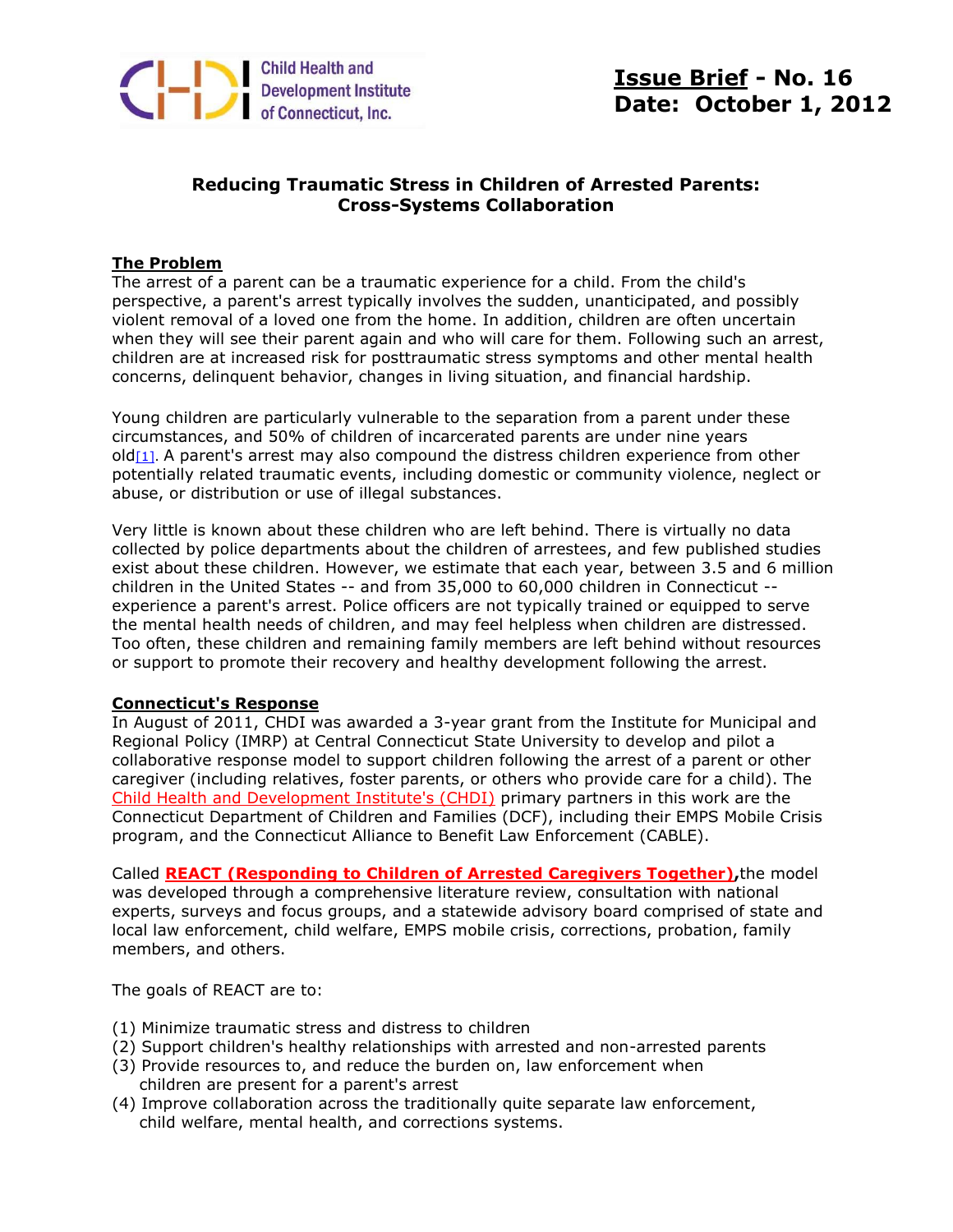

# **Issue Brief - No. 16 Date: October 1, 2012**

# **Reducing Traumatic Stress in Children of Arrested Parents: Cross-Systems Collaboration**

## **The Problem**

The arrest of a parent can be a traumatic experience for a child. From the child's perspective, a parent's arrest typically involves the sudden, unanticipated, and possibly violent removal of a loved one from the home. In addition, children are often uncertain when they will see their parent again and who will care for them. Following such an arrest, children are at increased risk for posttraumatic stress symptoms and other mental health concerns, delinquent behavior, changes in living situation, and financial hardship.

Young children are particularly vulnerable to the separation from a parent under these circumstances, and 50% of children of incarcerated parents are under nine years  $old[1]$ . A parent's arrest may also compound the distress children experience from other potentially related traumatic events, including domestic or community violence, neglect or abuse, or distribution or use of illegal substances.

Very little is known about these children who are left behind. There is virtually no data collected by police departments about the children of arrestees, and few published studies exist about these children. However, we estimate that each year, between 3.5 and 6 million children in the United States -- and from 35,000 to 60,000 children in Connecticut - experience a parent's arrest. Police officers are not typically trained or equipped to serve the mental health needs of children, and may feel helpless when children are distressed. Too often, these children and remaining family members are left behind without resources or support to promote their recovery and healthy development following the arrest.

### **Connecticut's Response**

In August of 2011, CHDI was awarded a 3-year grant from the Institute for Municipal and Regional Policy (IMRP) at Central Connecticut State University to develop and pilot a collaborative response model to support children following the arrest of a parent or other caregiver (including relatives, foster parents, or others who provide care for a child). The [Child Health and Development Institute's \(CHDI\)](http://r20.rs6.net/tn.jsp?e=001921qWIsssTyU5wphgdUHcLtqj-WIvNr4DQvJ3BK-3UTYpbincqovqg8ObFOhf8pLS50hCvPqMd7o15X9laF6ZWMfyBJWWlmKlFO11KeXf7M=) primary partners in this work are the Connecticut Department of Children and Families (DCF), including their EMPS Mobile Crisis program, and the Connecticut Alliance to Benefit Law Enforcement (CABLE).

Called **[REACT \(Responding to Children of Arrested Caregivers Together\),](http://r20.rs6.net/tn.jsp?e=001921qWIsssTyU5wphgdUHcLtqj-WIvNr4DQvJ3BK-3UTYpbincqovqg8ObFOhf8pLS50hCvPqMd7o15X9laF6ZWMfyBJWWlmKvQQWSChNl_8KswqLr8HiAwSOoeiQ-gYoH0EmMOWwArzG8sliJmIaCngK90MgSTUiVLkD3YfbBeM=)**the model was developed through a comprehensive literature review, consultation with national experts, surveys and focus groups, and a statewide advisory board comprised of state and local law enforcement, child welfare, EMPS mobile crisis, corrections, probation, family members, and others.

The goals of REACT are to:

- (1) Minimize traumatic stress and distress to children
- (2) Support children's healthy relationships with arrested and non-arrested parents
- (3) Provide resources to, and reduce the burden on, law enforcement when children are present for a parent's arrest
- (4) Improve collaboration across the traditionally quite separate law enforcement, child welfare, mental health, and corrections systems.